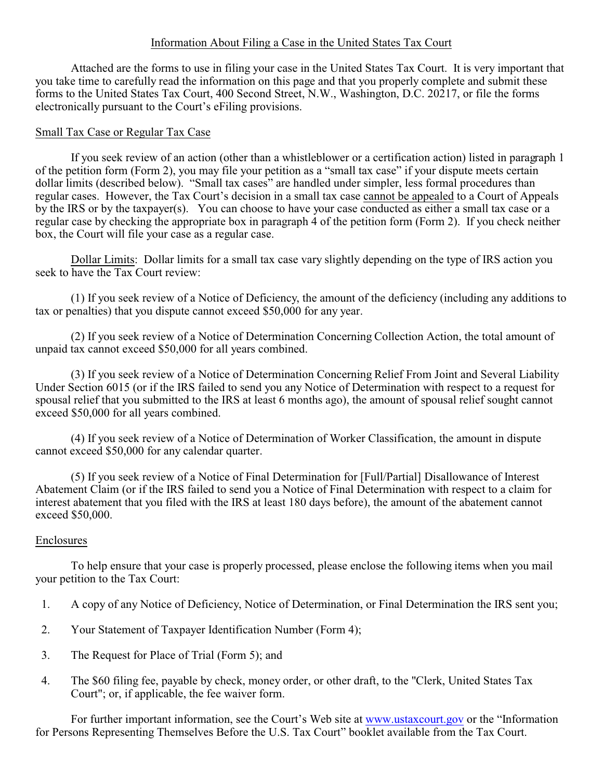## Information About Filing a Case in the United States Tax Court

Attached are the forms to use in filing your case in the United States Tax Court. It is very important that you take time to carefully read the information on this page and that you properly complete and submit these forms to the United States Tax Court, 400 Second Street, N.W., Washington, D.C. 20217, or file the forms electronically pursuant to the Court's eFiling provisions.

## Small Tax Case or Regular Tax Case

If you seek review of an action (other than a whistleblower or a certification action) listed in paragraph 1 of the petition form (Form 2), you may file your petition as a "small tax case" if your dispute meets certain dollar limits (described below). "Small tax cases" are handled under simpler, less formal procedures than regular cases. However, the Tax Court's decision in a small tax case cannot be appealed to a Court of Appeals by the IRS or by the taxpayer(s). You can choose to have your case conducted as either a small tax case or a regular case by checking the appropriate box in paragraph 4 of the petition form (Form 2). If you check neither box, the Court will file your case as a regular case.

Dollar Limits: Dollar limits for a small tax case vary slightly depending on the type of IRS action you seek to have the Tax Court review:

(1) If you seek review of a Notice of Deficiency, the amount of the deficiency (including any additions to tax or penalties) that you dispute cannot exceed \$50,000 for any year.

(2) If you seek review of a Notice of Determination Concerning Collection Action, the total amount of unpaid tax cannot exceed \$50,000 for all years combined.

(3) If you seek review of a Notice of Determination Concerning Relief From Joint and Several Liability Under Section 6015 (or if the IRS failed to send you any Notice of Determination with respect to a request for spousal relief that you submitted to the IRS at least 6 months ago), the amount of spousal relief sought cannot exceed \$50,000 for all years combined.

(4) If you seek review of a Notice of Determination of Worker Classification, the amount in dispute cannot exceed \$50,000 for any calendar quarter.

(5) If you seek review of a Notice of Final Determination for [Full/Partial] Disallowance of Interest Abatement Claim (or if the IRS failed to send you a Notice of Final Determination with respect to a claim for interest abatement that you filed with the IRS at least 180 days before), the amount of the abatement cannot exceed \$50,000.

## Enclosures

To help ensure that your case is properly processed, please enclose the following items when you mail your petition to the Tax Court:

- 1. A copy of any Notice of Deficiency, Notice of Determination, or Final Determination the IRS sent you;
- 2. Your Statement of Taxpayer Identification Number (Form 4);
- 3. The Request for Place of Trial (Form 5); and
- 4. The \$60 filing fee, payable by check, money order, or other draft, to the "Clerk, United States Tax Court"; or, if applicable, the fee waiver form.

For further important information, see the Court's Web site at [www.ustaxcourt.gov](https://www.ustaxcourt.gov/) or the "Information for Persons Representing Themselves Before the U.S. Tax Court" booklet available from the Tax Court.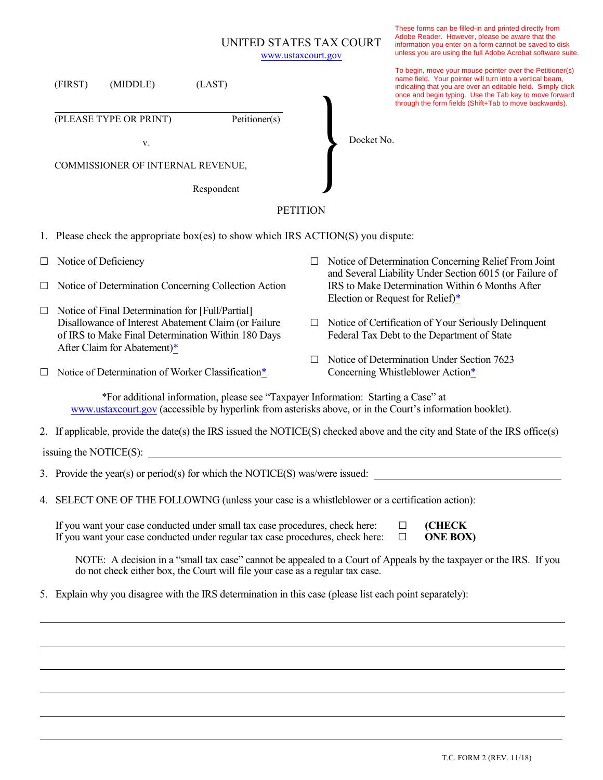|                                                                                                                                                                                                 |                                                                                                                                                                                                                        |                                                                                                                                                                                               |               |        | UNITED STATES TAX COURT<br>www.ustaxcourt.gov                                                                                                  | These forms can be filled-in and printed directly from<br>Adobe Reader. However, please be aware that the<br>information you enter on a form cannot be saved to disk<br>unless you are using the full Adobe Acrobat software suite.                                                                      |  |  |  |
|-------------------------------------------------------------------------------------------------------------------------------------------------------------------------------------------------|------------------------------------------------------------------------------------------------------------------------------------------------------------------------------------------------------------------------|-----------------------------------------------------------------------------------------------------------------------------------------------------------------------------------------------|---------------|--------|------------------------------------------------------------------------------------------------------------------------------------------------|----------------------------------------------------------------------------------------------------------------------------------------------------------------------------------------------------------------------------------------------------------------------------------------------------------|--|--|--|
|                                                                                                                                                                                                 | (FIRST)                                                                                                                                                                                                                | (MIDDLE)                                                                                                                                                                                      | (LAST)        |        |                                                                                                                                                | To begin, move your mouse pointer over the Petitioner(s)<br>name field. Your pointer will turn into a vertical beam,<br>indicating that you are over an editable field. Simply click<br>once and begin typing. Use the Tab key to move forward<br>through the form fields (Shift+Tab to move backwards). |  |  |  |
|                                                                                                                                                                                                 |                                                                                                                                                                                                                        | (PLEASE TYPE OR PRINT)                                                                                                                                                                        | Petitioner(s) |        |                                                                                                                                                |                                                                                                                                                                                                                                                                                                          |  |  |  |
|                                                                                                                                                                                                 |                                                                                                                                                                                                                        | v.                                                                                                                                                                                            |               |        | Docket No.                                                                                                                                     |                                                                                                                                                                                                                                                                                                          |  |  |  |
|                                                                                                                                                                                                 |                                                                                                                                                                                                                        | COMMISSIONER OF INTERNAL REVENUE,                                                                                                                                                             |               |        |                                                                                                                                                |                                                                                                                                                                                                                                                                                                          |  |  |  |
|                                                                                                                                                                                                 |                                                                                                                                                                                                                        |                                                                                                                                                                                               | Respondent    |        |                                                                                                                                                |                                                                                                                                                                                                                                                                                                          |  |  |  |
| <b>PETITION</b>                                                                                                                                                                                 |                                                                                                                                                                                                                        |                                                                                                                                                                                               |               |        |                                                                                                                                                |                                                                                                                                                                                                                                                                                                          |  |  |  |
|                                                                                                                                                                                                 | 1. Please check the appropriate box(es) to show which IRS ACTION(S) you dispute:                                                                                                                                       |                                                                                                                                                                                               |               |        |                                                                                                                                                |                                                                                                                                                                                                                                                                                                          |  |  |  |
|                                                                                                                                                                                                 |                                                                                                                                                                                                                        | $\Box$ Notice of Deficiency                                                                                                                                                                   |               | ⊔      | Notice of Determination Concerning Relief From Joint                                                                                           |                                                                                                                                                                                                                                                                                                          |  |  |  |
| $\Box$                                                                                                                                                                                          | Notice of Determination Concerning Collection Action                                                                                                                                                                   |                                                                                                                                                                                               |               |        | and Several Liability Under Section 6015 (or Failure of<br>IRS to Make Determination Within 6 Months After<br>Election or Request for Relief)* |                                                                                                                                                                                                                                                                                                          |  |  |  |
| $\Box$                                                                                                                                                                                          |                                                                                                                                                                                                                        | Notice of Final Determination for [Full/Partial]<br>Disallowance of Interest Abatement Claim (or Failure<br>of IRS to Make Final Determination Within 180 Days<br>After Claim for Abatement)* |               | $\Box$ | Notice of Certification of Your Seriously Delinquent<br>Federal Tax Debt to the Department of State                                            |                                                                                                                                                                                                                                                                                                          |  |  |  |
| ப                                                                                                                                                                                               |                                                                                                                                                                                                                        | Notice of Determination of Worker Classification*                                                                                                                                             |               | П      |                                                                                                                                                | Notice of Determination Under Section 7623<br>Concerning Whistleblower Action*                                                                                                                                                                                                                           |  |  |  |
| *For additional information, please see "Taxpayer Information: Starting a Case" at<br>www.ustaxcourt.gov (accessible by hyperlink from asterisks above, or in the Court's information booklet). |                                                                                                                                                                                                                        |                                                                                                                                                                                               |               |        |                                                                                                                                                |                                                                                                                                                                                                                                                                                                          |  |  |  |
|                                                                                                                                                                                                 | 2. If applicable, provide the date(s) the IRS issued the NOTICE(S) checked above and the city and State of the IRS office(s)                                                                                           |                                                                                                                                                                                               |               |        |                                                                                                                                                |                                                                                                                                                                                                                                                                                                          |  |  |  |
| issuing the NOTICE(S):                                                                                                                                                                          |                                                                                                                                                                                                                        |                                                                                                                                                                                               |               |        |                                                                                                                                                |                                                                                                                                                                                                                                                                                                          |  |  |  |
|                                                                                                                                                                                                 | 3. Provide the year(s) or period(s) for which the NOTICE(S) was/were issued:                                                                                                                                           |                                                                                                                                                                                               |               |        |                                                                                                                                                |                                                                                                                                                                                                                                                                                                          |  |  |  |
|                                                                                                                                                                                                 | 4. SELECT ONE OF THE FOLLOWING (unless your case is a whistleblower or a certification action):                                                                                                                        |                                                                                                                                                                                               |               |        |                                                                                                                                                |                                                                                                                                                                                                                                                                                                          |  |  |  |
|                                                                                                                                                                                                 | If you want your case conducted under small tax case procedures, check here:<br><b>(CHECK</b><br>$\Box$<br>If you want your case conducted under regular tax case procedures, check here:<br><b>ONE BOX)</b><br>$\Box$ |                                                                                                                                                                                               |               |        |                                                                                                                                                |                                                                                                                                                                                                                                                                                                          |  |  |  |

NOTE: A decision in a "small tax case" cannot be appealed to a Court of Appeals by the taxpayer or the IRS. If you do not check either box, the Court will file your case as a regular tax case.

5. Explain why you disagree with the IRS determination in this case (please list each point separately):

 $\overline{a}$ 

 $\overline{a}$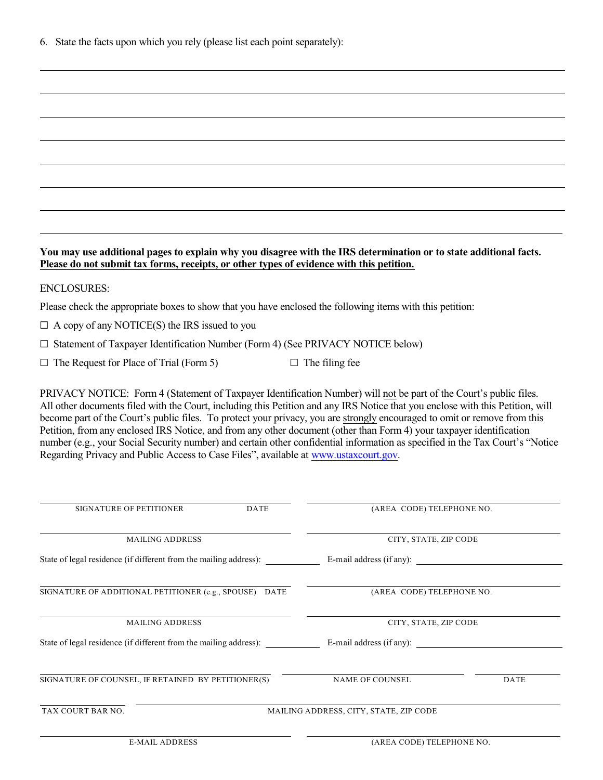6. State the facts upon which you rely (please list each point separately):

### **You may use additional pages to explain why you disagree with the IRS determination or to state additional facts. Please do not submit tax forms, receipts, or other types of evidence with this petition.**

#### ENCLOSURES:

 $\overline{a}$ 

 $\overline{a}$ 

Please check the appropriate boxes to show that you have enclosed the following items with this petition:

 $\Box$  A copy of any NOTICE(S) the IRS issued to you

 $\Box$  Statement of Taxpayer Identification Number (Form 4) (See PRIVACY NOTICE below)

 $\Box$  The Request for Place of Trial (Form 5)  $\Box$  The filing fee

PRIVACY NOTICE: Form 4 (Statement of Taxpayer Identification Number) will not be part of the Court's public files. All other documents filed with the Court, including this Petition and any IRS Notice that you enclose with this Petition, will become part of the Court's public files. To protect your privacy, you are strongly encouraged to omit or remove from this Petition, from any enclosed IRS Notice, and from any other document (other than Form 4) your taxpayer identification number (e.g., your Social Security number) and certain other confidential information as specified in the Tax Court's "Notice Regarding Privacy and Public Access to Case Files", available at [www.ustaxcourt.gov](http://www.ustaxcourt.gov/).

| <b>SIGNATURE OF PETITIONER</b>                                    | <b>DATE</b> | (AREA CODE) TELEPHONE NO.              |      |  |  |
|-------------------------------------------------------------------|-------------|----------------------------------------|------|--|--|
|                                                                   |             |                                        |      |  |  |
| <b>MAILING ADDRESS</b>                                            |             | CITY, STATE, ZIP CODE                  |      |  |  |
| State of legal residence (if different from the mailing address): |             | E-mail address (if any):               |      |  |  |
| SIGNATURE OF ADDITIONAL PETITIONER (e.g., SPOUSE) DATE            |             | (AREA CODE) TELEPHONE NO.              |      |  |  |
| <b>MAILING ADDRESS</b>                                            |             | CITY, STATE, ZIP CODE                  |      |  |  |
| State of legal residence (if different from the mailing address): |             | E-mail address (if any):               |      |  |  |
| SIGNATURE OF COUNSEL, IF RETAINED BY PETITIONER(S)                |             | NAME OF COUNSEL                        | DATE |  |  |
| TAX COURT BAR NO.                                                 |             | MAILING ADDRESS, CITY, STATE, ZIP CODE |      |  |  |
|                                                                   |             |                                        |      |  |  |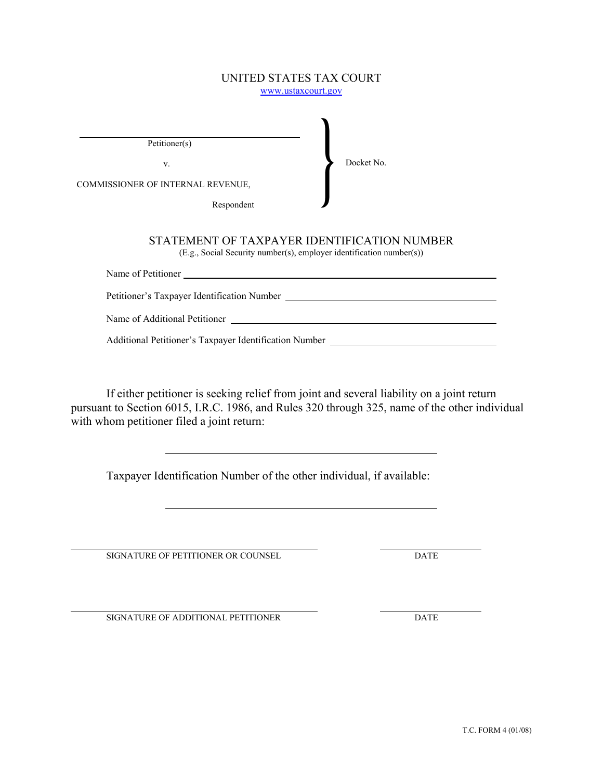#### UNITED STATES TAX COURT www.ustaxcourt.gov

Petitioner(s)

v.

Docket No.

COMMISSIONER OF INTERNAL REVENUE,

Respondent

# STATEMENT OF TAXPAYER IDENTIFICATION NUMBER

(E.g., Social Security number(s), employer identification number(s))

| Name of Petitioner                          |  |  |  |  |  |
|---------------------------------------------|--|--|--|--|--|
|                                             |  |  |  |  |  |
| Petitioner's Taxpayer Identification Number |  |  |  |  |  |
|                                             |  |  |  |  |  |
| Name of Additional Petitioner               |  |  |  |  |  |
|                                             |  |  |  |  |  |

Additional Petitioner's Taxpayer Identification Number

If either petitioner is seeking relief from joint and several liability on a joint return pursuant to Section 6015, I.R.C. 1986, and Rules 320 through 325, name of the other individual with whom petitioner filed a joint return:

Taxpayer Identification Number of the other individual, if available:

SIGNATURE OF PETITIONER OR COUNSEL DATE

 $\overline{a}$ 

 $\overline{a}$ 

 $\overline{a}$ 

 $\overline{a}$ 

SIGNATURE OF ADDITIONAL PETITIONER DATE